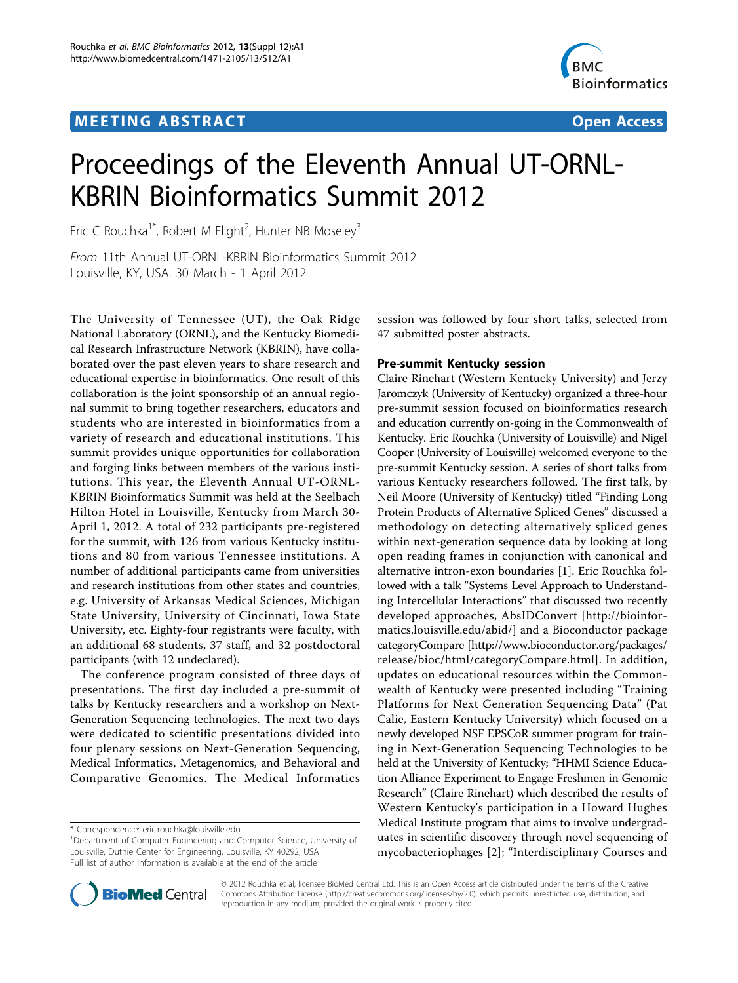## **MEETING ABSTRACT And CONSTRACT CONSTRACT** And CONSTRACT CONSTRACT CONSTRACT CONSTRACT CONSTRACT CONSTRACT CONSTR



# Proceedings of the Eleventh Annual UT-ORNL-KBRIN Bioinformatics Summit 2012

Eric C Rouchka<sup>1\*</sup>, Robert M Flight<sup>2</sup>, Hunter NB Moseley<sup>3</sup>

From 11th Annual UT-ORNL-KBRIN Bioinformatics Summit 2012 Louisville, KY, USA. 30 March - 1 April 2012

The University of Tennessee (UT), the Oak Ridge National Laboratory (ORNL), and the Kentucky Biomedical Research Infrastructure Network (KBRIN), have collaborated over the past eleven years to share research and educational expertise in bioinformatics. One result of this collaboration is the joint sponsorship of an annual regional summit to bring together researchers, educators and students who are interested in bioinformatics from a variety of research and educational institutions. This summit provides unique opportunities for collaboration and forging links between members of the various institutions. This year, the Eleventh Annual UT-ORNL-KBRIN Bioinformatics Summit was held at the Seelbach Hilton Hotel in Louisville, Kentucky from March 30- April 1, 2012. A total of 232 participants pre-registered for the summit, with 126 from various Kentucky institutions and 80 from various Tennessee institutions. A number of additional participants came from universities and research institutions from other states and countries, e.g. University of Arkansas Medical Sciences, Michigan State University, University of Cincinnati, Iowa State University, etc. Eighty-four registrants were faculty, with an additional 68 students, 37 staff, and 32 postdoctoral participants (with 12 undeclared).

The conference program consisted of three days of presentations. The first day included a pre-summit of talks by Kentucky researchers and a workshop on Next-Generation Sequencing technologies. The next two days were dedicated to scientific presentations divided into four plenary sessions on Next-Generation Sequencing, Medical Informatics, Metagenomics, and Behavioral and Comparative Genomics. The Medical Informatics



#### Pre-summit Kentucky session

Claire Rinehart (Western Kentucky University) and Jerzy Jaromczyk (University of Kentucky) organized a three-hour pre-summit session focused on bioinformatics research and education currently on-going in the Commonwealth of Kentucky. Eric Rouchka (University of Louisville) and Nigel Cooper (University of Louisville) welcomed everyone to the pre-summit Kentucky session. A series of short talks from various Kentucky researchers followed. The first talk, by Neil Moore (University of Kentucky) titled "Finding Long Protein Products of Alternative Spliced Genes" discussed a methodology on detecting alternatively spliced genes within next-generation sequence data by looking at long open reading frames in conjunction with canonical and alternative intron-exon boundaries [[1](#page-3-0)]. Eric Rouchka followed with a talk "Systems Level Approach to Understanding Intercellular Interactions" that discussed two recently developed approaches, AbsIDConvert [[http://bioinfor](http://bioinformatics.louisville.edu/abid/)[matics.louisville.edu/abid/\]](http://bioinformatics.louisville.edu/abid/) and a Bioconductor package categoryCompare [[http://www.bioconductor.org/packages/](http://www.bioconductor.org/packages/release/bioc/html/categoryCompare.html) [release/bioc/html/categoryCompare.html](http://www.bioconductor.org/packages/release/bioc/html/categoryCompare.html)]. In addition, updates on educational resources within the Commonwealth of Kentucky were presented including "Training Platforms for Next Generation Sequencing Data" (Pat Calie, Eastern Kentucky University) which focused on a newly developed NSF EPSCoR summer program for training in Next-Generation Sequencing Technologies to be held at the University of Kentucky; "HHMI Science Education Alliance Experiment to Engage Freshmen in Genomic Research" (Claire Rinehart) which described the results of Western Kentucky's participation in a Howard Hughes Medical Institute program that aims to involve undergraduates in scientific discovery through novel sequencing of mycobacteriophages [[2\]](#page-3-0); "Interdisciplinary Courses and



© 2012 Rouchka et al; licensee BioMed Central Ltd. This is an Open Access article distributed under the terms of the Creative Commons Attribution License [\(http://creativecommons.org/licenses/by/2.0](http://creativecommons.org/licenses/by/2.0)), which permits unrestricted use, distribution, and reproduction in any medium, provided the original work is properly cited.

<sup>\*</sup> Correspondence: [eric.rouchka@louisville.edu](mailto:eric.rouchka@louisville.edu)

<sup>&</sup>lt;sup>1</sup>Department of Computer Engineering and Computer Science, University of Louisville, Duthie Center for Engineering, Louisville, KY 40292, USA Full list of author information is available at the end of the article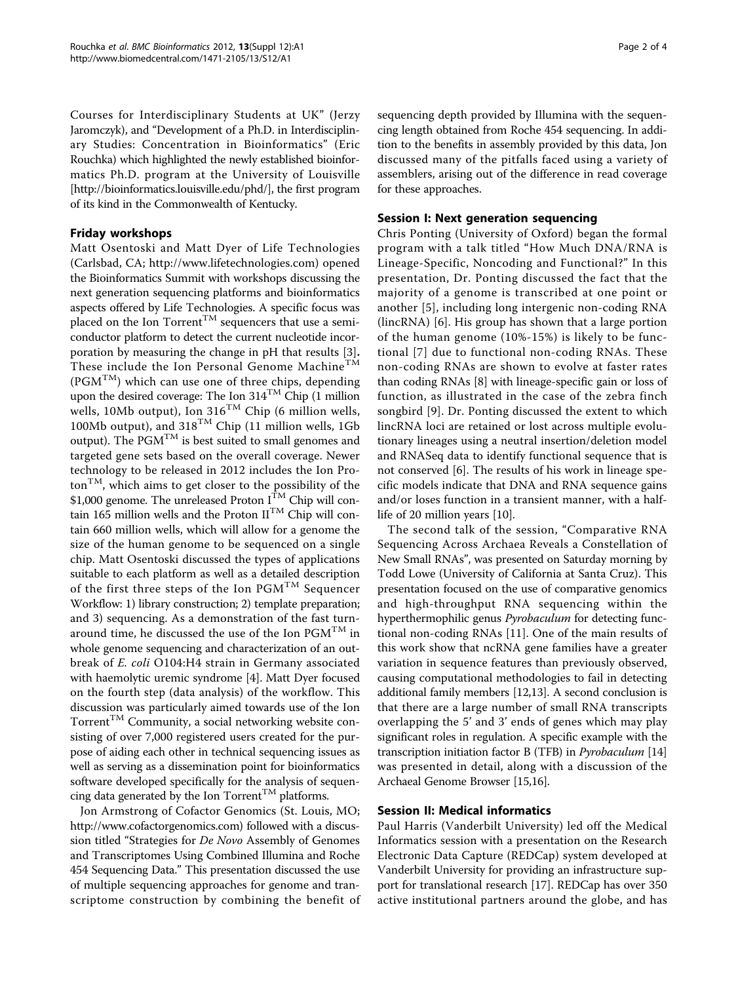Courses for Interdisciplinary Students at UK" (Jerzy Jaromczyk), and "Development of a Ph.D. in Interdisciplinary Studies: Concentration in Bioinformatics" (Eric Rouchka) which highlighted the newly established bioinformatics Ph.D. program at the University of Louisville [[http://bioinformatics.louisville.edu/phd/\]](http://bioinformatics.louisville.edu/phd/), the first program of its kind in the Commonwealth of Kentucky.

### Friday workshops

Matt Osentoski and Matt Dyer of Life Technologies (Carlsbad, CA;<http://www.lifetechnologies.com>) opened the Bioinformatics Summit with workshops discussing the next generation sequencing platforms and bioinformatics aspects offered by Life Technologies. A specific focus was placed on the Ion Torrent<sup>TM</sup> sequencers that use a semiconductor platform to detect the current nucleotide incorporation by measuring the change in pH that results [[3\]](#page-3-0). These include the Ion Personal Genome Machine<sup>TM</sup>  $(PGM<sup>TM</sup>)$  which can use one of three chips, depending upon the desired coverage: The Ion  $314^{TM}$  Chip (1 million wells, 10Mb output), Ion  $316^{TM}$  Chip (6 million wells, 100Mb output), and  $318^{TM}$  Chip (11 million wells, 1Gb output). The  $PGM^{TM}$  is best suited to small genomes and targeted gene sets based on the overall coverage. Newer technology to be released in 2012 includes the Ion Pro- $\text{tan}^{\text{TM}}$ , which aims to get closer to the possibility of the \$1,000 genome. The unreleased Proton  $I^{\overline{TM}}$  Chip will contain 165 million wells and the Proton  $II<sup>TM</sup>$  Chip will contain 660 million wells, which will allow for a genome the size of the human genome to be sequenced on a single chip. Matt Osentoski discussed the types of applications suitable to each platform as well as a detailed description of the first three steps of the Ion  $PGM^{TM}$  Sequencer Workflow: 1) library construction; 2) template preparation; and 3) sequencing. As a demonstration of the fast turnaround time, he discussed the use of the Ion  $\mathbb{P} \mathbb{G} \mathbb{M}^{\mathbb{T} \mathbb{M}}$  in whole genome sequencing and characterization of an outbreak of E. coli O104:H4 strain in Germany associated with haemolytic uremic syndrome [[4\]](#page-3-0). Matt Dyer focused on the fourth step (data analysis) of the workflow. This discussion was particularly aimed towards use of the Ion Torrent<sup>TM</sup> Community, a social networking website consisting of over 7,000 registered users created for the purpose of aiding each other in technical sequencing issues as well as serving as a dissemination point for bioinformatics software developed specifically for the analysis of sequencing data generated by the Ion  $\operatorname{Torrent}^{\operatorname{TM}}$  platforms.

Jon Armstrong of Cofactor Genomics (St. Louis, MO; <http://www.cofactorgenomics.com>) followed with a discussion titled "Strategies for De Novo Assembly of Genomes and Transcriptomes Using Combined Illumina and Roche 454 Sequencing Data." This presentation discussed the use of multiple sequencing approaches for genome and transcriptome construction by combining the benefit of sequencing depth provided by Illumina with the sequencing length obtained from Roche 454 sequencing. In addition to the benefits in assembly provided by this data, Jon discussed many of the pitfalls faced using a variety of assemblers, arising out of the difference in read coverage for these approaches.

## Session I: Next generation sequencing

Chris Ponting (University of Oxford) began the formal program with a talk titled "How Much DNA/RNA is Lineage-Specific, Noncoding and Functional?" In this presentation, Dr. Ponting discussed the fact that the majority of a genome is transcribed at one point or another [[5\]](#page-3-0), including long intergenic non-coding RNA (lincRNA) [\[6](#page-3-0)]. His group has shown that a large portion of the human genome (10%-15%) is likely to be functional [[7](#page-3-0)] due to functional non-coding RNAs. These non-coding RNAs are shown to evolve at faster rates than coding RNAs [[8\]](#page-3-0) with lineage-specific gain or loss of function, as illustrated in the case of the zebra finch songbird [[9\]](#page-3-0). Dr. Ponting discussed the extent to which lincRNA loci are retained or lost across multiple evolutionary lineages using a neutral insertion/deletion model and RNASeq data to identify functional sequence that is not conserved [\[6](#page-3-0)]. The results of his work in lineage specific models indicate that DNA and RNA sequence gains and/or loses function in a transient manner, with a halflife of 20 million years [[10\]](#page-3-0).

The second talk of the session, "Comparative RNA Sequencing Across Archaea Reveals a Constellation of New Small RNAs", was presented on Saturday morning by Todd Lowe (University of California at Santa Cruz). This presentation focused on the use of comparative genomics and high-throughput RNA sequencing within the hyperthermophilic genus Pyrobaculum for detecting functional non-coding RNAs [[11\]](#page-3-0). One of the main results of this work show that ncRNA gene families have a greater variation in sequence features than previously observed, causing computational methodologies to fail in detecting additional family members [\[12,13](#page-3-0)]. A second conclusion is that there are a large number of small RNA transcripts overlapping the 5' and 3' ends of genes which may play significant roles in regulation. A specific example with the transcription initiation factor B (TFB) in Pyrobaculum [[14](#page-3-0)] was presented in detail, along with a discussion of the Archaeal Genome Browser [[15,16\]](#page-3-0).

### Session II: Medical informatics

Paul Harris (Vanderbilt University) led off the Medical Informatics session with a presentation on the Research Electronic Data Capture (REDCap) system developed at Vanderbilt University for providing an infrastructure support for translational research [[17\]](#page-3-0). REDCap has over 350 active institutional partners around the globe, and has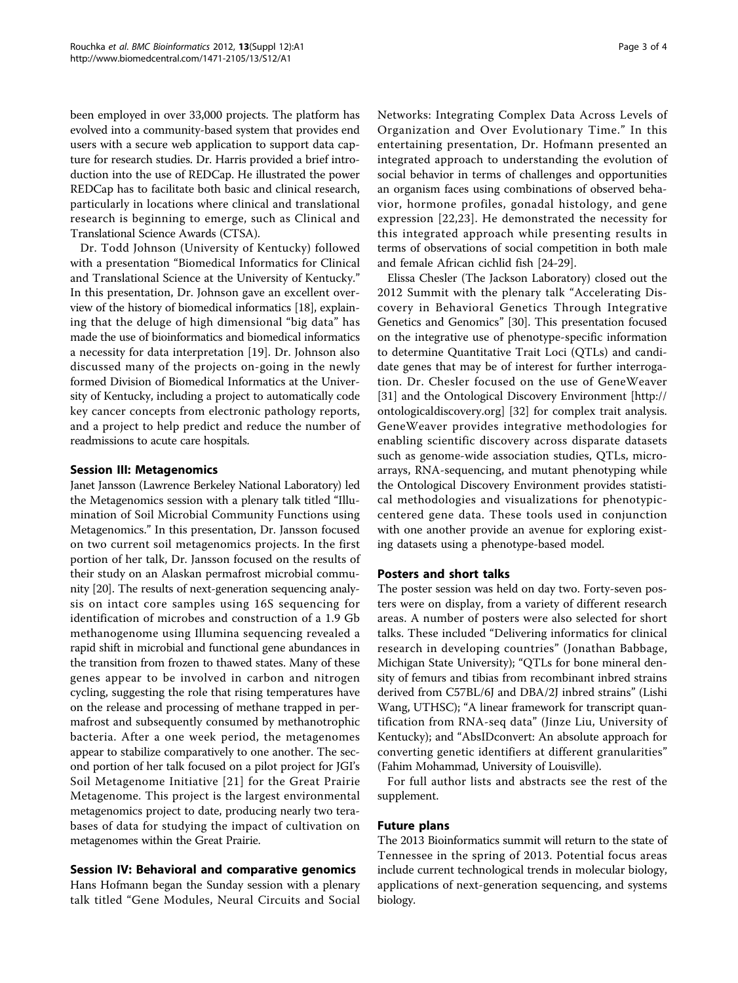been employed in over 33,000 projects. The platform has evolved into a community-based system that provides end users with a secure web application to support data capture for research studies. Dr. Harris provided a brief introduction into the use of REDCap. He illustrated the power REDCap has to facilitate both basic and clinical research, particularly in locations where clinical and translational research is beginning to emerge, such as Clinical and Translational Science Awards (CTSA).

Dr. Todd Johnson (University of Kentucky) followed with a presentation "Biomedical Informatics for Clinical and Translational Science at the University of Kentucky." In this presentation, Dr. Johnson gave an excellent overview of the history of biomedical informatics [[18](#page-3-0)], explaining that the deluge of high dimensional "big data" has made the use of bioinformatics and biomedical informatics a necessity for data interpretation [\[19](#page-3-0)]. Dr. Johnson also discussed many of the projects on-going in the newly formed Division of Biomedical Informatics at the University of Kentucky, including a project to automatically code key cancer concepts from electronic pathology reports, and a project to help predict and reduce the number of readmissions to acute care hospitals.

#### Session III: Metagenomics

Janet Jansson (Lawrence Berkeley National Laboratory) led the Metagenomics session with a plenary talk titled "Illumination of Soil Microbial Community Functions using Metagenomics." In this presentation, Dr. Jansson focused on two current soil metagenomics projects. In the first portion of her talk, Dr. Jansson focused on the results of their study on an Alaskan permafrost microbial community [[20](#page-3-0)]. The results of next-generation sequencing analysis on intact core samples using 16S sequencing for identification of microbes and construction of a 1.9 Gb methanogenome using Illumina sequencing revealed a rapid shift in microbial and functional gene abundances in the transition from frozen to thawed states. Many of these genes appear to be involved in carbon and nitrogen cycling, suggesting the role that rising temperatures have on the release and processing of methane trapped in permafrost and subsequently consumed by methanotrophic bacteria. After a one week period, the metagenomes appear to stabilize comparatively to one another. The second portion of her talk focused on a pilot project for JGI's Soil Metagenome Initiative [[21\]](#page-3-0) for the Great Prairie Metagenome. This project is the largest environmental metagenomics project to date, producing nearly two terabases of data for studying the impact of cultivation on metagenomes within the Great Prairie.

## Session IV: Behavioral and comparative genomics

Hans Hofmann began the Sunday session with a plenary talk titled "Gene Modules, Neural Circuits and Social Networks: Integrating Complex Data Across Levels of Organization and Over Evolutionary Time." In this entertaining presentation, Dr. Hofmann presented an integrated approach to understanding the evolution of social behavior in terms of challenges and opportunities an organism faces using combinations of observed behavior, hormone profiles, gonadal histology, and gene expression [[22](#page-3-0),[23\]](#page-3-0). He demonstrated the necessity for this integrated approach while presenting results in terms of observations of social competition in both male and female African cichlid fish [\[24-29](#page-3-0)].

Elissa Chesler (The Jackson Laboratory) closed out the 2012 Summit with the plenary talk "Accelerating Discovery in Behavioral Genetics Through Integrative Genetics and Genomics" [\[30\]](#page-3-0). This presentation focused on the integrative use of phenotype-specific information to determine Quantitative Trait Loci (QTLs) and candidate genes that may be of interest for further interrogation. Dr. Chesler focused on the use of GeneWeaver [[31\]](#page-3-0) and the Ontological Discovery Environment [\[http://](http://ontologicaldiscovery.org) [ontologicaldiscovery.org\]](http://ontologicaldiscovery.org) [\[32](#page-3-0)] for complex trait analysis. GeneWeaver provides integrative methodologies for enabling scientific discovery across disparate datasets such as genome-wide association studies, QTLs, microarrays, RNA-sequencing, and mutant phenotyping while the Ontological Discovery Environment provides statistical methodologies and visualizations for phenotypiccentered gene data. These tools used in conjunction with one another provide an avenue for exploring existing datasets using a phenotype-based model.

## Posters and short talks

The poster session was held on day two. Forty-seven posters were on display, from a variety of different research areas. A number of posters were also selected for short talks. These included "Delivering informatics for clinical research in developing countries" (Jonathan Babbage, Michigan State University); "QTLs for bone mineral density of femurs and tibias from recombinant inbred strains derived from C57BL/6J and DBA/2J inbred strains" (Lishi Wang, UTHSC); "A linear framework for transcript quantification from RNA-seq data" (Jinze Liu, University of Kentucky); and "AbsIDconvert: An absolute approach for converting genetic identifiers at different granularities" (Fahim Mohammad, University of Louisville).

For full author lists and abstracts see the rest of the supplement.

## Future plans

The 2013 Bioinformatics summit will return to the state of Tennessee in the spring of 2013. Potential focus areas include current technological trends in molecular biology, applications of next-generation sequencing, and systems biology.